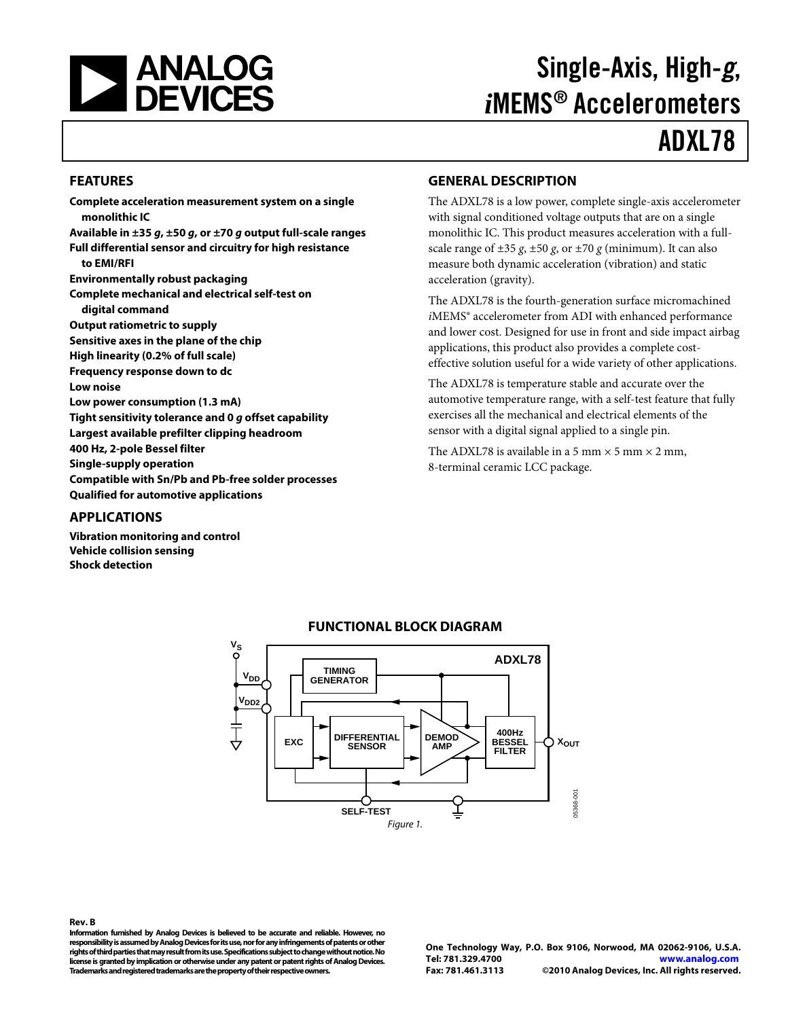<span id="page-0-0"></span>

# Single-Axis, High-g, *i*MEMS® Accelerometers

# ADXL78

#### **FEATURES**

**Complete acceleration measurement system on a single monolithic IC Available in ±35 g, ±50 g, or ±70 g output full-scale ranges Full differential sensor and circuitry for high resistance to EMI/RFI Environmentally robust packaging Complete mechanical and electrical self-test on digital command Output ratiometric to supply Sensitive axes in the plane of the chip High linearity (0.2% of full scale) Frequency response down to dc Low noise Low power consumption (1.3 mA) Tight sensitivity tolerance and 0 g offset capability Largest available prefilter clipping headroom 400 Hz, 2-pole Bessel filter Single-supply operation Compatible with Sn/Pb and Pb-free solder processes Qualified for automotive applications APPLICATIONS** 

#### **Vibration monitoring and control Vehicle collision sensing**

**Shock detection**

#### **GENERAL DESCRIPTION**

The ADXL78 is a low power, complete single-axis accelerometer with signal conditioned voltage outputs that are on a single monolithic IC. This product measures acceleration with a fullscale range of  $\pm 35$  *g*,  $\pm 50$  *g*, or  $\pm 70$  *g* (minimum). It can also measure both dynamic acceleration (vibration) and static acceleration (gravity).

The ADXL78 is the fourth-generation surface micromachined *i*MEMS® accelerometer from ADI with enhanced performance and lower cost. Designed for use in front and side impact airbag applications, this product also provides a complete costeffective solution useful for a wide variety of other applications.

The ADXL78 is temperature stable and accurate over the automotive temperature range, with a self-test feature that fully exercises all the mechanical and electrical elements of the sensor with a digital signal applied to a single pin.

The ADXL78 is available in a 5 mm  $\times$  5 mm  $\times$  2 mm, 8-terminal ceramic LCC package.



#### **FUNCTIONAL BLOCK DIAGRAM**

**Rev. B** 

**Information furnished by Analog Devices is believed to be accurate and reliable. However, no responsibility is assumed by Analog Devices for its use, nor for any infringements of patents or other rights of third parties that may result from its use. Specifications subject to change without notice. No license is granted by implication or otherwise under any patent or patent rights of Analog Devices. Trademarks and registered trademarks are the property of their respective owners.** 

**One Technology Way, P.O. Box 9106, Norwood, MA 02062-9106, U.S.A. Tel: 781.329.4700 www.analog.com Fax: 781.461.3113 ©2010 Analog Devices, Inc. All rights reserved.**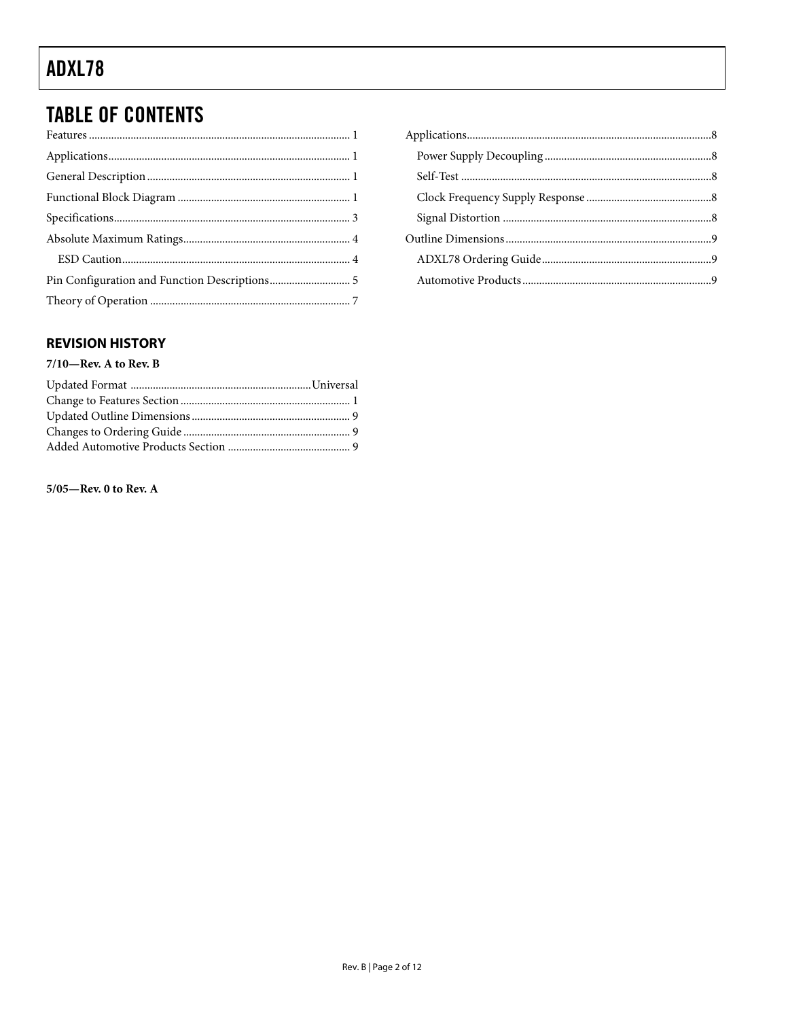# **TABLE OF CONTENTS**

#### **REVISION HISTORY**

#### $7/10$ –Rev. A to Rev. B

#### $5/05$ —Rev. 0 to Rev. A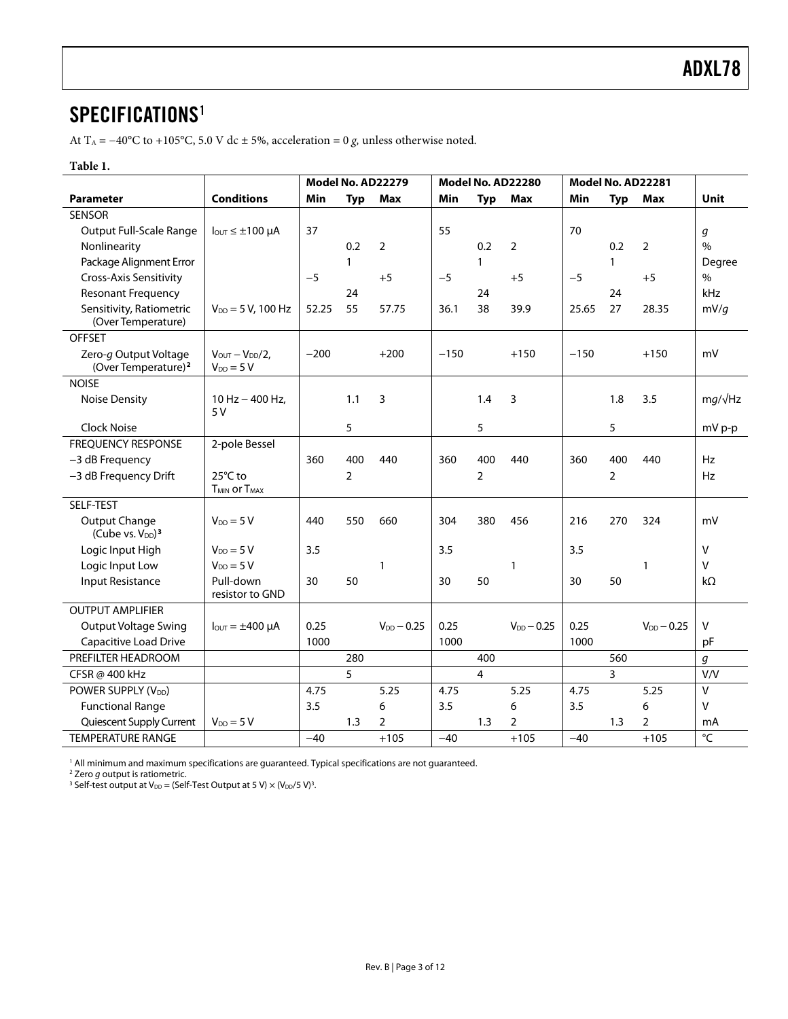### <span id="page-2-0"></span>SPECIFICATIONS<sup>1</sup>

At T<sub>A</sub> = −40°C to +105°C, 5.0 V dc ± 5%, acceleration = 0 *g*, unless otherwise noted.

#### **Table 1.**

|                                                           |                                                 |        | Model No. AD22279<br>Model No. AD22280 |                 |        | Model No. AD22281 |                 |        |                |                 |                 |
|-----------------------------------------------------------|-------------------------------------------------|--------|----------------------------------------|-----------------|--------|-------------------|-----------------|--------|----------------|-----------------|-----------------|
| <b>Parameter</b>                                          | <b>Conditions</b>                               | Min    | <b>Typ</b>                             | Max             | Min    | <b>Typ</b>        | Max             | Min    | <b>Typ</b>     | Max             | <b>Unit</b>     |
| <b>SENSOR</b>                                             |                                                 |        |                                        |                 |        |                   |                 |        |                |                 |                 |
| <b>Output Full-Scale Range</b>                            | $I_{\text{OUT}} \leq \pm 100 \ \mu A$           | 37     |                                        |                 | 55     |                   |                 | 70     |                |                 | g               |
| Nonlinearity                                              |                                                 |        | 0.2                                    | $\overline{2}$  |        | 0.2               | $\overline{2}$  |        | 0.2            | 2               | $\%$            |
| Package Alignment Error                                   |                                                 |        | $\mathbf{1}$                           |                 |        | 1                 |                 |        | $\mathbf{1}$   |                 | Degree          |
| Cross-Axis Sensitivity                                    |                                                 | $-5$   |                                        | $+5$            | $-5$   |                   | $+5$            | $-5$   |                | $+5$            | $\%$            |
| <b>Resonant Frequency</b>                                 |                                                 |        | 24                                     |                 |        | 24                |                 |        | 24             |                 | kHz             |
| Sensitivity, Ratiometric<br>(Over Temperature)            | $V_{DD} = 5 V$ , 100 Hz                         | 52.25  | 55                                     | 57.75           | 36.1   | 38                | 39.9            | 25.65  | 27             | 28.35           | mV/q            |
| <b>OFFSET</b>                                             |                                                 |        |                                        |                 |        |                   |                 |        |                |                 |                 |
| Zero-g Output Voltage<br>(Over Temperature) <sup>2</sup>  | $V_{OUT} - V_{DD}/2$ ,<br>$V_{DD} = 5 V$        | $-200$ |                                        | $+200$          | $-150$ |                   | $+150$          | $-150$ |                | $+150$          | mV              |
| <b>NOISE</b>                                              |                                                 |        |                                        |                 |        |                   |                 |        |                |                 |                 |
| <b>Noise Density</b>                                      | $10$ Hz $-$ 400 Hz,<br>5V                       |        | 1.1                                    | 3               |        | 1.4               | 3               |        | 1.8            | 3.5             | $mg/\sqrt{Hz}$  |
| Clock Noise                                               |                                                 |        | 5                                      |                 |        | 5                 |                 |        | 5              |                 | mV p-p          |
| <b>FREQUENCY RESPONSE</b>                                 | 2-pole Bessel                                   |        |                                        |                 |        |                   |                 |        |                |                 |                 |
| -3 dB Frequency                                           |                                                 | 360    | 400                                    | 440             | 360    | 400               | 440             | 360    | 400            | 440             | Hz              |
| -3 dB Frequency Drift                                     | 25°C to<br>T <sub>MIN</sub> or T <sub>MAX</sub> |        | 2                                      |                 |        | $\overline{2}$    |                 |        | $\overline{2}$ |                 | Hz              |
| SELF-TEST                                                 |                                                 |        |                                        |                 |        |                   |                 |        |                |                 |                 |
| Output Change<br>(Cube vs. V <sub>DD</sub> ) <sup>3</sup> | $V_{DD} = 5 V$                                  | 440    | 550                                    | 660             | 304    | 380               | 456             | 216    | 270            | 324             | mV              |
| Logic Input High                                          | $V_{DD} = 5V$                                   | 3.5    |                                        |                 | 3.5    |                   |                 | 3.5    |                |                 | $\vee$          |
| Logic Input Low                                           | $V_{DD} = 5 V$                                  |        |                                        | 1               |        |                   | 1               |        |                | 1               | $\mathsf{V}$    |
| <b>Input Resistance</b>                                   | Pull-down<br>resistor to GND                    | 30     | 50                                     |                 | 30     | 50                |                 | 30     | 50             |                 | $k\Omega$       |
| <b>OUTPUT AMPLIFIER</b>                                   |                                                 |        |                                        |                 |        |                   |                 |        |                |                 |                 |
| <b>Output Voltage Swing</b>                               | $I_{\text{OUT}} = \pm 400 \mu A$                | 0.25   |                                        | $V_{DD} - 0.25$ | 0.25   |                   | $V_{DD} - 0.25$ | 0.25   |                | $V_{DD} - 0.25$ | $\vee$          |
| Capacitive Load Drive                                     |                                                 | 1000   |                                        |                 | 1000   |                   |                 | 1000   |                |                 | pF              |
| PREFILTER HEADROOM                                        |                                                 |        | 280                                    |                 |        | 400               |                 |        | 560            |                 | g               |
| CFSR @ 400 kHz                                            |                                                 |        | 5                                      |                 |        | $\overline{4}$    |                 |        | 3              |                 | V/V             |
| POWER SUPPLY (V <sub>DD</sub> )                           |                                                 | 4.75   |                                        | 5.25            | 4.75   |                   | 5.25            | 4.75   |                | 5.25            | $\vee$          |
| <b>Functional Range</b>                                   |                                                 | 3.5    |                                        | 6               | 3.5    |                   | 6               | 3.5    |                | 6               | v               |
| Quiescent Supply Current                                  | $V_{DD} = 5 V$                                  |        | 1.3                                    | $\overline{2}$  |        | 1.3               | $\overline{2}$  |        | 1.3            | $\overline{2}$  | mA              |
| <b>TEMPERATURE RANGE</b>                                  |                                                 | $-40$  |                                        | $+105$          | $-40$  |                   | $+105$          | $-40$  |                | $+105$          | $\rm ^{\circ}C$ |

<sup>1</sup> All minimum and maximum specifications are guaranteed. Typical specifications are not guaranteed.<br><sup>2</sup> Zero *g* output is ratiometric.<br><sup>3</sup> Self-test output at V<sub>DD</sub> = (Self-Test Output at 5 V) × (V<sub>DD</sub>/5 V)<sup>3</sup>.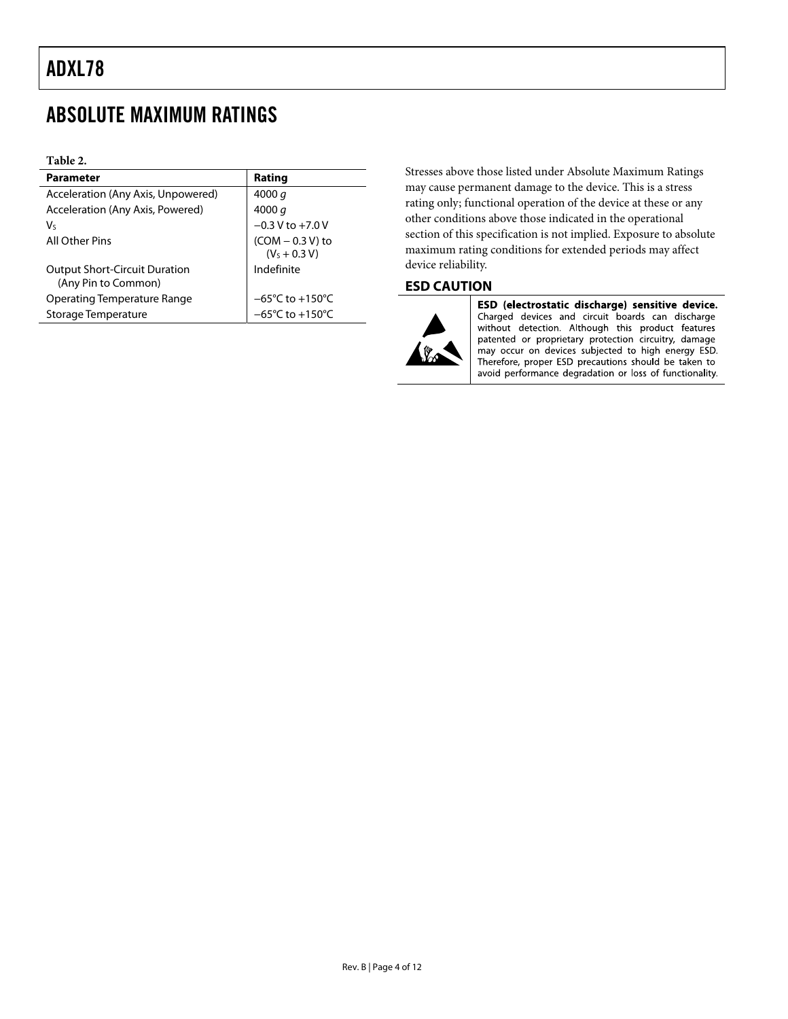### <span id="page-3-0"></span>ABSOLUTE MAXIMUM RATINGS

#### **Table 2.**

| <b>Parameter</b>                                            | Rating                               |
|-------------------------------------------------------------|--------------------------------------|
| Acceleration (Any Axis, Unpowered)                          | 4000 $q$                             |
| Acceleration (Any Axis, Powered)                            | 4000 $q$                             |
| V٢                                                          | $-0.3 V$ to $+7.0 V$                 |
| All Other Pins                                              | $(COM - 0.3 V)$ to<br>$(VS + 0.3 V)$ |
| <b>Output Short-Circuit Duration</b><br>(Any Pin to Common) | Indefinite                           |
| Operating Temperature Range                                 | $-65^{\circ}$ C to $+150^{\circ}$ C  |
| Storage Temperature                                         | $-65^{\circ}$ C to $+150^{\circ}$ C  |

Stresses above those listed under Absolute Maximum Ratings may cause permanent damage to the device. This is a stress rating only; functional operation of the device at these or any other conditions above those indicated in the operational section of this specification is not implied. Exposure to absolute maximum rating conditions for extended periods may affect device reliability.

#### **ESD CAUTION**



ESD (electrostatic discharge) sensitive device. Charged devices and circuit boards can discharge without detection. Although this product features patented or proprietary protection circuitry, damage may occur on devices subjected to high energy ESD. Therefore, proper ESD precautions should be taken to avoid performance degradation or loss of functionality.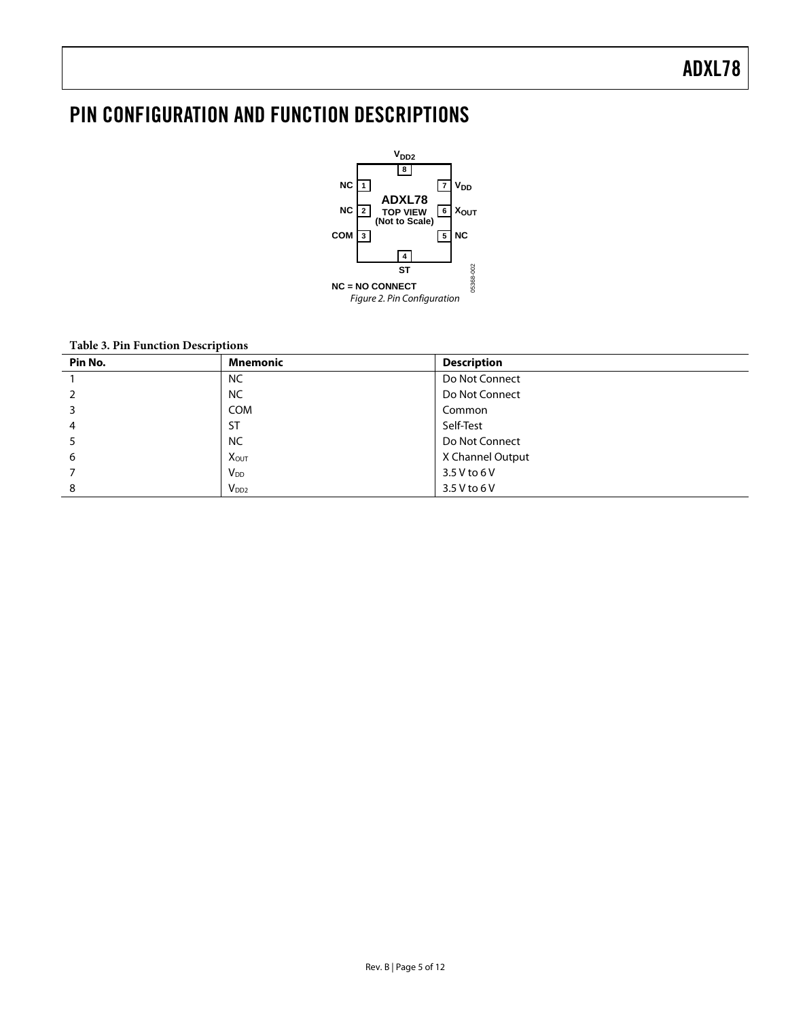# <span id="page-4-0"></span>PIN CONFIGURATION AND FUNCTION DESCRIPTIONS



#### **Table 3. Pin Function Descriptions**

| Pin No. | <b>Mnemonic</b>         | <b>Description</b> |
|---------|-------------------------|--------------------|
|         | <b>NC</b>               | Do Not Connect     |
|         | <b>NC</b>               | Do Not Connect     |
|         | <b>COM</b>              | Common             |
| 4       | <b>ST</b>               | Self-Test          |
|         | <b>NC</b>               | Do Not Connect     |
| 6       | <b>X</b> <sub>OUT</sub> | X Channel Output   |
|         | <b>V</b> <sub>DD</sub>  | 3.5 V to 6 V       |
| 8       | $V_{DD2}$               | 3.5 V to 6 V       |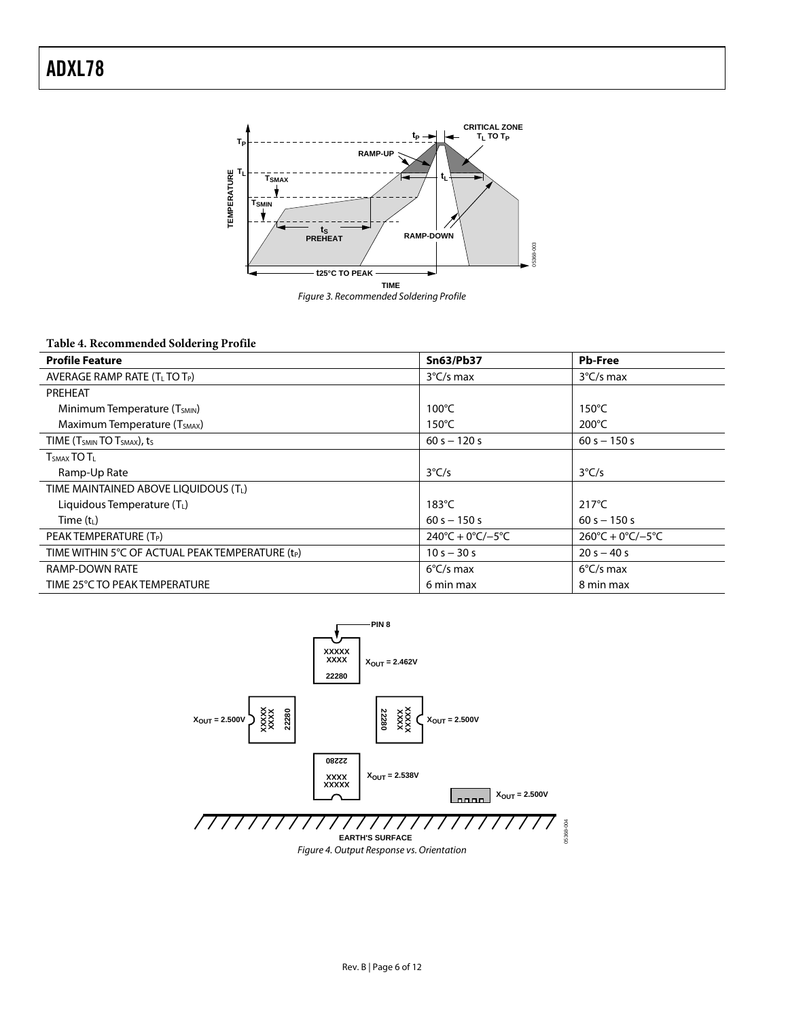

#### **Table 4. Recommended Soldering Profile**

| <b>Profile Feature</b>                                         | <b>Sn63/Pb37</b>                        | <b>Pb-Free</b>                          |
|----------------------------------------------------------------|-----------------------------------------|-----------------------------------------|
| AVERAGE RAMP RATE $(TL TO TP)$                                 | $3^{\circ}$ C/s max                     | $3^{\circ}$ C/s max                     |
| PREHEAT                                                        |                                         |                                         |
| Minimum Temperature (T <sub>SMIN</sub> )                       | $100^{\circ}$ C                         | $150^{\circ}$ C                         |
| Maximum Temperature (T <sub>SMAX</sub> )                       | 150°C                                   | $200^{\circ}$ C                         |
| TIME (T <sub>SMIN</sub> TO T <sub>SMAX</sub> ), t <sub>S</sub> | $60 s - 120 s$                          | $60 s - 150 s$                          |
| $TSMAX$ TO $TL$                                                |                                         |                                         |
| Ramp-Up Rate                                                   | $3^{\circ}$ C/s                         | $3^{\circ}$ C/s                         |
| TIME MAINTAINED ABOVE LIQUIDOUS (TL)                           |                                         |                                         |
| Liquidous Temperature $(T_L)$                                  | $183^{\circ}$ C                         | $217^{\circ}$ C                         |
| Time $(tL)$                                                    | $60 s - 150 s$                          | $60 s - 150 s$                          |
| PEAK TEMPERATURE (T <sub>P</sub> )                             | $240^{\circ}C + 0^{\circ}C/-5^{\circ}C$ | $260^{\circ}C + 0^{\circ}C/-5^{\circ}C$ |
| TIME WITHIN 5°C OF ACTUAL PEAK TEMPERATURE (t <sub>P</sub> )   | $10 s - 30 s$                           | $20 s - 40 s$                           |
| <b>RAMP-DOWN RATE</b>                                          | $6^{\circ}$ C/s max                     | $6^{\circ}$ C/s max                     |
| TIME 25°C TO PEAK TEMPERATURE                                  | 6 min max                               | 8 min max                               |

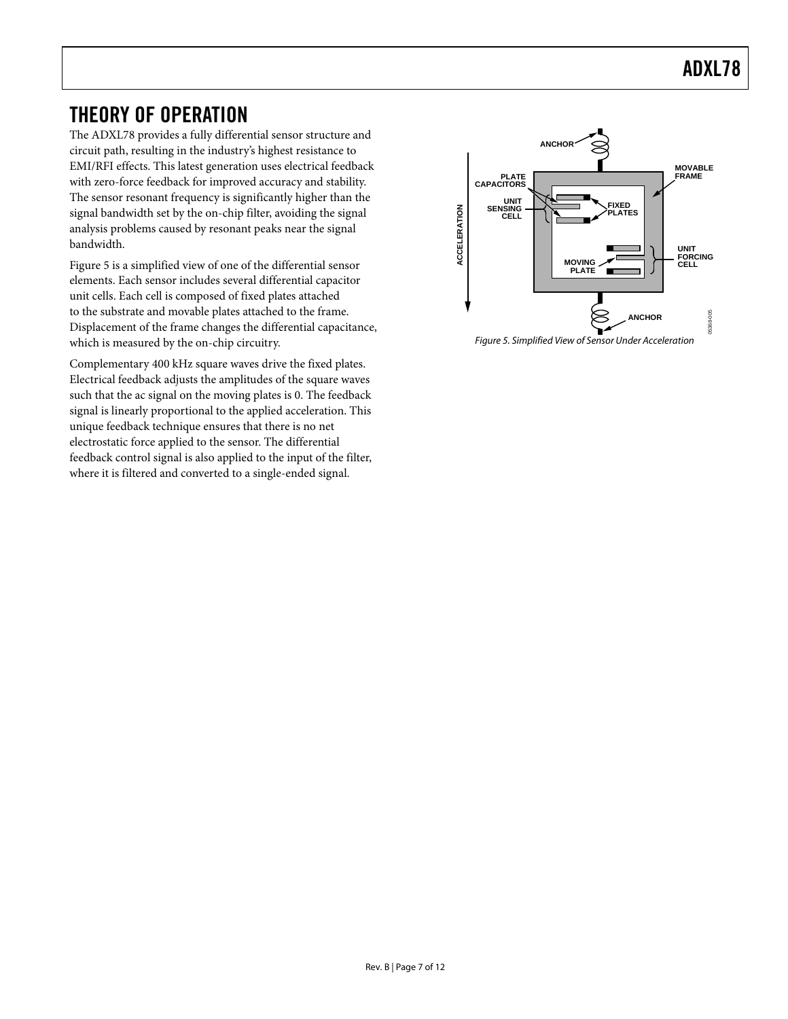# ADXL78

### <span id="page-6-0"></span>THEORY OF OPERATION

The ADXL78 provides a fully differential sensor structure and circuit path, resulting in the industry's highest resistance to EMI/RFI effects. This latest generation uses electrical feedback with zero-force feedback for improved accuracy and stability. The sensor resonant frequency is significantly higher than the signal bandwidth set by the on-chip filter, avoiding the signal analysis problems caused by resonant peaks near the signal bandwidth.

[Figure 5](#page-6-1) is a simplified view of one of the differential sensor elements. Each sensor includes several differential capacitor unit cells. Each cell is composed of fixed plates attached to the substrate and movable plates attached to the frame. Displacement of the frame changes the differential capacitance, which is measured by the on-chip circuitry. The state of Sensor Under Acceleration Figure 5. Simplified View of Sensor Under Acceleration

<span id="page-6-1"></span>Complementary 400 kHz square waves drive the fixed plates. Electrical feedback adjusts the amplitudes of the square waves such that the ac signal on the moving plates is 0. The feedback signal is linearly proportional to the applied acceleration. This unique feedback technique ensures that there is no net electrostatic force applied to the sensor. The differential feedback control signal is also applied to the input of the filter, where it is filtered and converted to a single-ended signal.



Rev. B | Page 7 of 12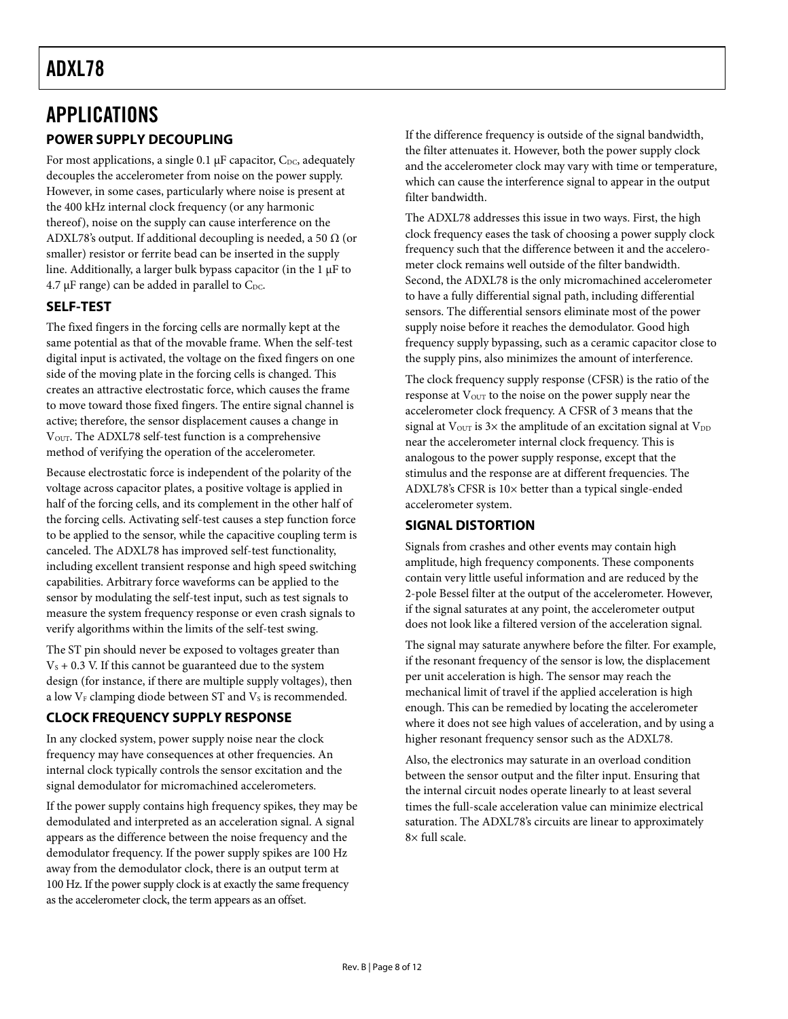### <span id="page-7-0"></span>APPLICATIONS **POWER SUPPLY DECOUPLING**

For most applications, a single 0.1  $\mu$ F capacitor, C<sub>DC</sub>, adequately decouples the accelerometer from noise on the power supply. However, in some cases, particularly where noise is present at the 400 kHz internal clock frequency (or any harmonic thereof), noise on the supply can cause interference on the ADXL78's output. If additional decoupling is needed, a 50  $\Omega$  (or smaller) resistor or ferrite bead can be inserted in the supply line. Additionally, a larger bulk bypass capacitor (in the 1 μF to  $4.7 \mu$ F range) can be added in parallel to C<sub>DC</sub>.

#### **SELF-TEST**

The fixed fingers in the forcing cells are normally kept at the same potential as that of the movable frame. When the self-test digital input is activated, the voltage on the fixed fingers on one side of the moving plate in the forcing cells is changed. This creates an attractive electrostatic force, which causes the frame to move toward those fixed fingers. The entire signal channel is active; therefore, the sensor displacement causes a change in V<sub>OUT</sub>. The ADXL78 self-test function is a comprehensive method of verifying the operation of the accelerometer.

Because electrostatic force is independent of the polarity of the voltage across capacitor plates, a positive voltage is applied in half of the forcing cells, and its complement in the other half of the forcing cells. Activating self-test causes a step function force to be applied to the sensor, while the capacitive coupling term is canceled. The ADXL78 has improved self-test functionality, including excellent transient response and high speed switching capabilities. Arbitrary force waveforms can be applied to the sensor by modulating the self-test input, such as test signals to measure the system frequency response or even crash signals to verify algorithms within the limits of the self-test swing.

The ST pin should never be exposed to voltages greater than  $V<sub>s</sub> + 0.3$  V. If this cannot be guaranteed due to the system design (for instance, if there are multiple supply voltages), then a low  $V_F$  clamping diode between ST and  $V_S$  is recommended.

#### **CLOCK FREQUENCY SUPPLY RESPONSE**

In any clocked system, power supply noise near the clock frequency may have consequences at other frequencies. An internal clock typically controls the sensor excitation and the signal demodulator for micromachined accelerometers.

If the power supply contains high frequency spikes, they may be demodulated and interpreted as an acceleration signal. A signal appears as the difference between the noise frequency and the demodulator frequency. If the power supply spikes are 100 Hz away from the demodulator clock, there is an output term at 100 Hz. If the power supply clock is at exactly the same frequency as the accelerometer clock, the term appears as an offset.

If the difference frequency is outside of the signal bandwidth, the filter attenuates it. However, both the power supply clock and the accelerometer clock may vary with time or temperature, which can cause the interference signal to appear in the output filter bandwidth.

The ADXL78 addresses this issue in two ways. First, the high clock frequency eases the task of choosing a power supply clock frequency such that the difference between it and the accelerometer clock remains well outside of the filter bandwidth. Second, the ADXL78 is the only micromachined accelerometer to have a fully differential signal path, including differential sensors. The differential sensors eliminate most of the power supply noise before it reaches the demodulator. Good high frequency supply bypassing, such as a ceramic capacitor close to the supply pins, also minimizes the amount of interference.

The clock frequency supply response (CFSR) is the ratio of the response at V<sub>OUT</sub> to the noise on the power supply near the accelerometer clock frequency. A CFSR of 3 means that the signal at  $V_{\text{OUT}}$  is  $3\times$  the amplitude of an excitation signal at  $V_{\text{DD}}$ near the accelerometer internal clock frequency. This is analogous to the power supply response, except that the stimulus and the response are at different frequencies. The ADXL78's CFSR is 10× better than a typical single-ended accelerometer system.

#### **SIGNAL DISTORTION**

Signals from crashes and other events may contain high amplitude, high frequency components. These components contain very little useful information and are reduced by the 2-pole Bessel filter at the output of the accelerometer. However, if the signal saturates at any point, the accelerometer output does not look like a filtered version of the acceleration signal.

The signal may saturate anywhere before the filter. For example, if the resonant frequency of the sensor is low, the displacement per unit acceleration is high. The sensor may reach the mechanical limit of travel if the applied acceleration is high enough. This can be remedied by locating the accelerometer where it does not see high values of acceleration, and by using a higher resonant frequency sensor such as the ADXL78.

Also, the electronics may saturate in an overload condition between the sensor output and the filter input. Ensuring that the internal circuit nodes operate linearly to at least several times the full-scale acceleration value can minimize electrical saturation. The ADXL78's circuits are linear to approximately 8× full scale.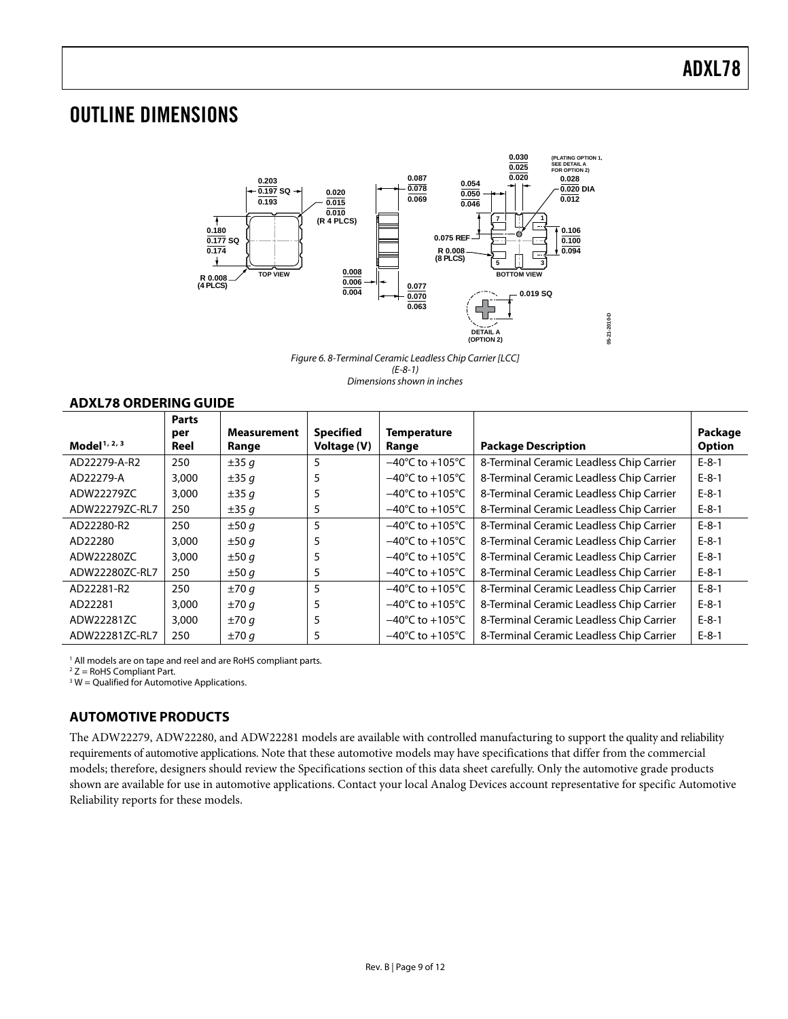### <span id="page-8-0"></span>OUTLINE DIMENSIONS



Figure 6. 8-Terminal Ceramic Leadless Chip Carrier [LCC] (E-8-1) Dimensions shown in inches

#### **ADXL78 ORDERING GUIDE**

| Model <sup>1, 2, 3</sup> | <b>Parts</b><br>per<br>Reel | <b>Measurement</b><br>Range | <b>Specified</b><br>Voltage (V) | <b>Temperature</b><br>Range         | <b>Package Description</b>               | Package<br><b>Option</b> |
|--------------------------|-----------------------------|-----------------------------|---------------------------------|-------------------------------------|------------------------------------------|--------------------------|
| AD22279-A-R2             | 250                         | $\pm 35q$                   | 5                               | $-40^{\circ}$ C to $+105^{\circ}$ C | 8-Terminal Ceramic Leadless Chip Carrier | $E-8-1$                  |
| AD22279-A                | 3,000                       | $\pm 35q$                   |                                 | $-40^{\circ}$ C to $+105^{\circ}$ C | 8-Terminal Ceramic Leadless Chip Carrier | $E-8-1$                  |
| ADW22279ZC               | 3,000                       | ±35q                        |                                 | $-40^{\circ}$ C to $+105^{\circ}$ C | 8-Terminal Ceramic Leadless Chip Carrier | $E-8-1$                  |
| ADW22279ZC-RL7           | 250                         | $\pm 35q$                   | 5                               | $-40^{\circ}$ C to $+105^{\circ}$ C | 8-Terminal Ceramic Leadless Chip Carrier | $E-8-1$                  |
| AD22280-R2               | 250                         | ±50q                        | 5                               | $-40^{\circ}$ C to $+105^{\circ}$ C | 8-Terminal Ceramic Leadless Chip Carrier | $E-8-1$                  |
| AD22280                  | 3,000                       | ±50q                        | 5                               | $-40^{\circ}$ C to $+105^{\circ}$ C | 8-Terminal Ceramic Leadless Chip Carrier | $E-8-1$                  |
| ADW22280ZC               | 3,000                       | ±50q                        |                                 | $-40^{\circ}$ C to $+105^{\circ}$ C | 8-Terminal Ceramic Leadless Chip Carrier | $E-8-1$                  |
| ADW22280ZC-RL7           | 250                         | ±50q                        | 5                               | $-40^{\circ}$ C to $+105^{\circ}$ C | 8-Terminal Ceramic Leadless Chip Carrier | $E-8-1$                  |
| AD22281-R2               | 250                         | ±70q                        | 5                               | $-40^{\circ}$ C to $+105^{\circ}$ C | 8-Terminal Ceramic Leadless Chip Carrier | $E-8-1$                  |
| AD22281                  | 3,000                       | ±70q                        |                                 | $-40^{\circ}$ C to $+105^{\circ}$ C | 8-Terminal Ceramic Leadless Chip Carrier | $E-8-1$                  |
| ADW22281ZC               | 3,000                       | ±70q                        | 5                               | $-40^{\circ}$ C to $+105^{\circ}$ C | 8-Terminal Ceramic Leadless Chip Carrier | $E-8-1$                  |
| ADW22281ZC-RL7           | 250                         | ±70q                        | 5                               | $-40^{\circ}$ C to $+105^{\circ}$ C | 8-Terminal Ceramic Leadless Chip Carrier | $E-8-1$                  |

<sup>1</sup> All models are on tape and reel and are RoHS compliant parts.

 $2 Z =$  RoHS Compliant Part.

 $3 W =$  Qualified for Automotive Applications.

#### **AUTOMOTIVE PRODUCTS**

The ADW22279, ADW22280, and ADW22281 models are available with controlled manufacturing to support the quality and reliability requirements of automotive applications. Note that these automotive models may have specifications that differ from the commercial models; therefore, designers should review the Specifications section of this data sheet carefully. Only the automotive grade products shown are available for use in automotive applications. Contact your local Analog Devices account representative for specific Automotive Reliability reports for these models.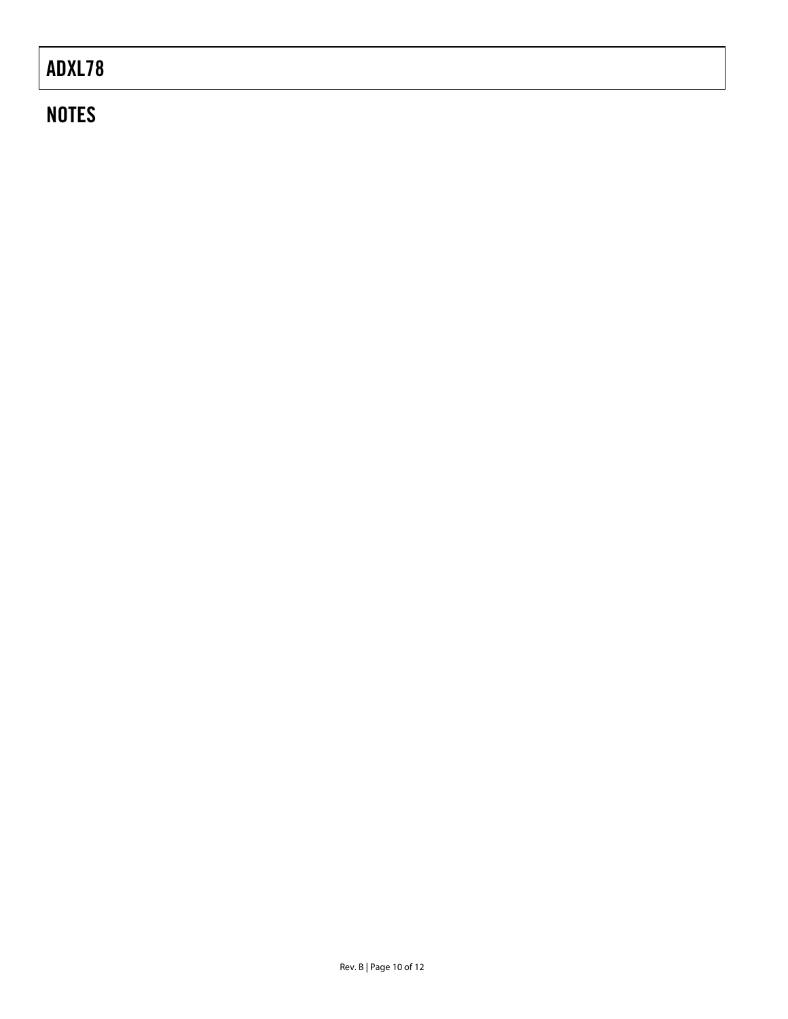# ADXL78

# **NOTES**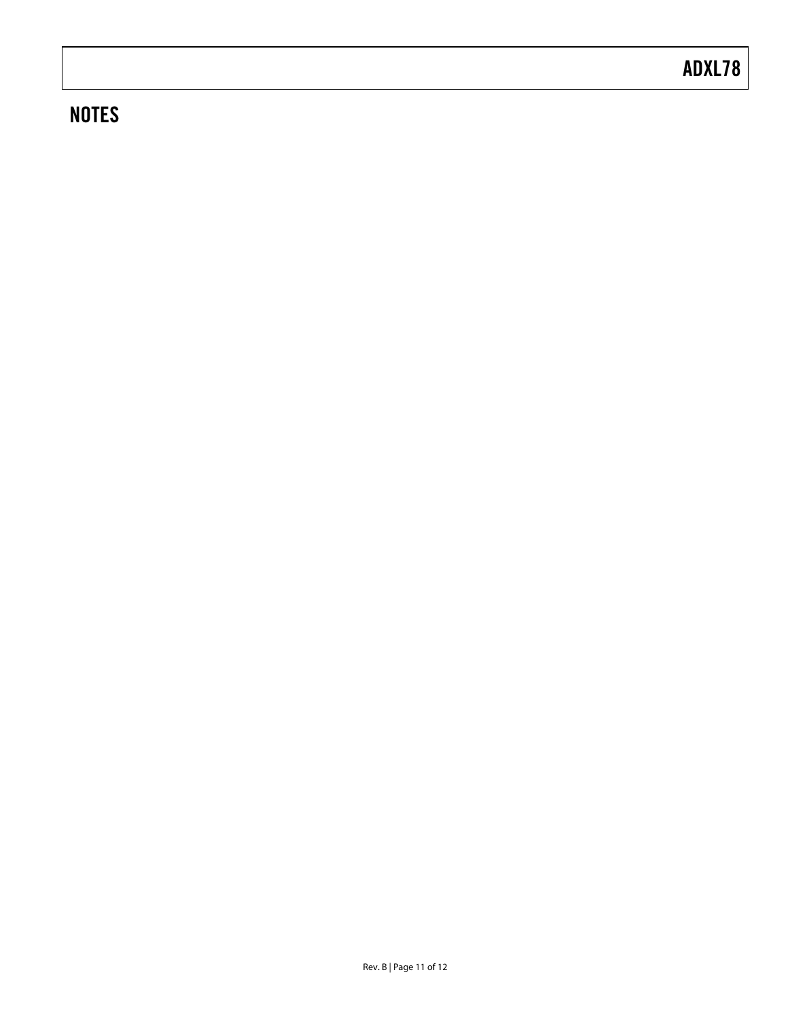# **NOTES**